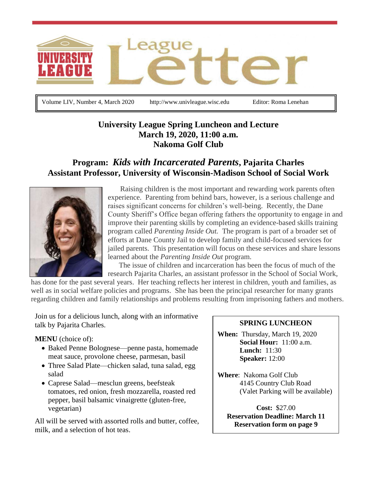

Volume LIV, Number 4, March 2020 http://www.univleague.wisc.edu Editor: Roma Lenehan

### **University League Spring Luncheon and Lecture March 19, 2020, 11:00 a.m. Nakoma Golf Club**

### **Program:** *Kids with Incarcerated Parents***, Pajarita Charles Assistant Professor, University of Wisconsin-Madison School of Social Work**



 Raising children is the most important and rewarding work parents often experience. Parenting from behind bars, however, is a serious challenge and raises significant concerns for children's well-being. Recently, the Dane County Sheriff's Office began offering fathers the opportunity to engage in and improve their parenting skills by completing an evidence-based skills training program called *Parenting Inside Out.* The program is part of a broader set of efforts at Dane County Jail to develop family and child-focused services for jailed parents. This presentation will focus on these services and share lessons learned about the *Parenting Inside Out* program.

 The issue of children and incarceration has been the focus of much of the research Pajarita Charles, an assistant professor in the School of Social Work,

has done for the past several years. Her teaching reflects her interest in children, youth and families, as well as in social welfare policies and programs. She has been the principal researcher for many grants regarding children and family relationships and problems resulting from imprisoning fathers and mothers.

Join us for a delicious lunch, along with an informative talk by Pajarita Charles.

**MENU** (choice of):

- Baked Penne Bolognese—penne pasta, homemade meat sauce, provolone cheese, parmesan, basil
- Three Salad Plate—chicken salad, tuna salad, egg salad
- Caprese Salad—mesclun greens, beefsteak tomatoes, red onion, fresh mozzarella, roasted red pepper, basil balsamic vinaigrette (gluten-free, vegetarian)

All will be served with assorted rolls and butter, coffee, milk, and a selection of hot teas.

#### **SPRING LUNCHEON**

**When:** Thursday, March 19, 2020 **Social Hour:** 11:00 a.m. **Lunch:** 11:30 **Speaker:** 12:00

**Where**: Nakoma Golf Club 4145 Country Club Road (Valet Parking will be available)

**Cost:** \$27.00 **Reservation Deadline: March 11 Reservation form on page 9**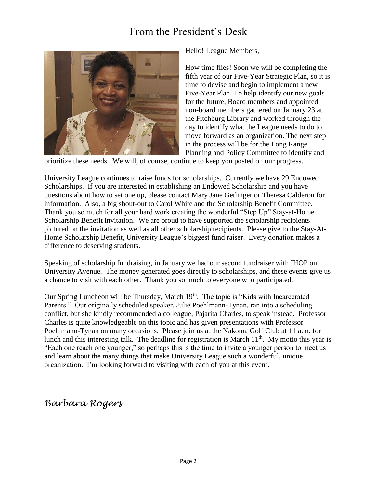# From the President's Desk



Hello! League Members,

How time flies! Soon we will be completing the fifth year of our Five-Year Strategic Plan, so it is time to devise and begin to implement a new Five-Year Plan. To help identify our new goals for the future, Board members and appointed non-board members gathered on January 23 at the Fitchburg Library and worked through the day to identify what the League needs to do to move forward as an organization. The next step in the process will be for the Long Range Planning and Policy Committee to identify and

prioritize these needs. We will, of course, continue to keep you posted on our progress.

University League continues to raise funds for scholarships. Currently we have 29 Endowed Scholarships. If you are interested in establishing an Endowed Scholarship and you have questions about how to set one up, please contact Mary Jane Getlinger or Theresa Calderon for information. Also, a big shout-out to Carol White and the Scholarship Benefit Committee. Thank you so much for all your hard work creating the wonderful "Step Up" Stay-at-Home Scholarship Benefit invitation. We are proud to have supported the scholarship recipients pictured on the invitation as well as all other scholarship recipients. Please give to the Stay-At-Home Scholarship Benefit, University League's biggest fund raiser. Every donation makes a difference to deserving students.

Speaking of scholarship fundraising, in January we had our second fundraiser with IHOP on University Avenue. The money generated goes directly to scholarships, and these events give us a chance to visit with each other. Thank you so much to everyone who participated.

Our Spring Luncheon will be Thursday, March 19<sup>th</sup>. The topic is "Kids with Incarcerated Parents." Our originally scheduled speaker, Julie Poehlmann-Tynan, ran into a scheduling conflict, but she kindly recommended a colleague, Pajarita Charles, to speak instead. Professor Charles is quite knowledgeable on this topic and has given presentations with Professor Poehlmann-Tynan on many occasions. Please join us at the Nakoma Golf Club at 11 a.m. for lunch and this interesting talk. The deadline for registration is March  $11<sup>th</sup>$ . My motto this year is "Each one reach one younger," so perhaps this is the time to invite a younger person to meet us and learn about the many things that make University League such a wonderful, unique organization. I'm looking forward to visiting with each of you at this event.

*Barbara Rogers*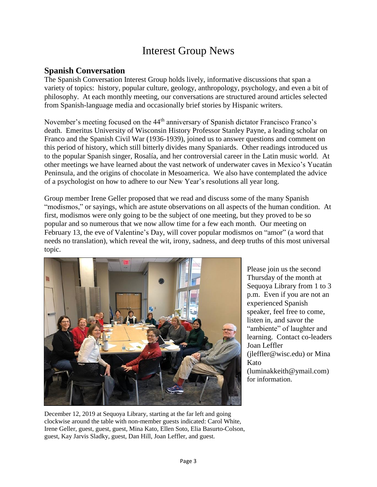## Interest Group News

### **Spanish Conversation**

The Spanish Conversation Interest Group holds lively, informative discussions that span a variety of topics: history, popular culture, geology, anthropology, psychology, and even a bit of philosophy. At each monthly meeting, our conversations are structured around articles selected from Spanish-language media and occasionally brief stories by Hispanic writers.

November's meeting focused on the 44<sup>th</sup> anniversary of Spanish dictator Francisco Franco's death. Emeritus University of Wisconsin History Professor Stanley Payne, a leading scholar on Franco and the Spanish Civil War (1936-1939), joined us to answer questions and comment on this period of history, which still bitterly divides many Spaniards. Other readings introduced us to the popular Spanish singer, Rosalía, and her controversial career in the Latin music world. At other meetings we have learned about the vast network of underwater caves in Mexico's Yucatán Peninsula, and the origins of chocolate in Mesoamerica. We also have contemplated the advice of a psychologist on how to adhere to our New Year's resolutions all year long.

Group member Irene Geller proposed that we read and discuss some of the many Spanish "modismos," or sayings, which are astute observations on all aspects of the human condition. At first, modismos were only going to be the subject of one meeting, but they proved to be so popular and so numerous that we now allow time for a few each month. Our meeting on February 13, the eve of Valentine's Day, will cover popular modismos on "amor" (a word that needs no translation), which reveal the wit, irony, sadness, and deep truths of this most universal topic.



Please join us the second Thursday of the month at Sequoya Library from 1 to 3 p.m. Even if you are not an experienced Spanish speaker, feel free to come, listen in, and savor the "ambiente" of laughter and learning. Contact co-leaders Joan Leffler [\(jleffler@wisc.edu\)](mailto:jleffler@wisc.edu) or Mina Kato [\(luminakkeith@ymail.com](mailto:luminakkeith@ymail.com)) for information.

December 12, 2019 at Sequoya Library, starting at the far left and going clockwise around the table with non-member guests indicated: Carol White, Irene Geller, guest, guest, guest, Mina Kato, Ellen Soto, Elia Basurto-Colson, guest, Kay Jarvis Sladky, guest, Dan Hill, Joan Leffler, and guest.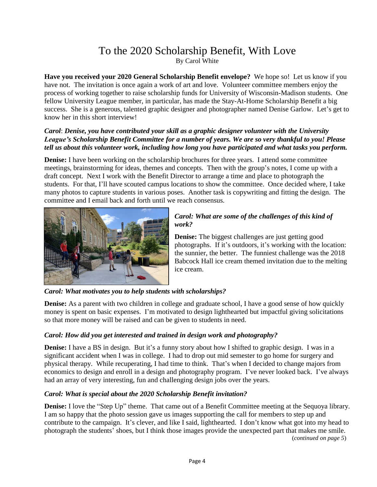### To the 2020 Scholarship Benefit, With Love By Carol White

**Have you received your 2020 General Scholarship Benefit envelope?** We hope so! Let us know if you have not. The invitation is once again a work of art and love. Volunteer committee members enjoy the process of working together to raise scholarship funds for University of Wisconsin-Madison students. One fellow University League member, in particular, has made the Stay-At-Home Scholarship Benefit a big success. She is a generous, talented graphic designer and photographer named Denise Garlow. Let's get to know her in this short interview!

#### *Carol*: *Denise, you have contributed your skill as a graphic designer volunteer with the University League's Scholarship Benefit Committee for a number of years. We are so very thankful to you! Please tell us about this volunteer work, including how long you have participated and what tasks you perform.*

**Denise:** I have been working on the scholarship brochures for three years. I attend some committee meetings, brainstorming for ideas, themes and concepts. Then with the group's notes, I come up with a draft concept. Next I work with the Benefit Director to arrange a time and place to photograph the students. For that, I'll have scouted campus locations to show the committee. Once decided where, I take many photos to capture students in various poses. Another task is copywriting and fitting the design. The committee and I email back and forth until we reach consensus.



#### *Carol: What are some of the challenges of this kind of work?*

**Denise:** The biggest challenges are just getting good photographs. If it's outdoors, it's working with the location: the sunnier, the better. The funniest challenge was the 2018 Babcock Hall ice cream themed invitation due to the melting ice cream.

*Carol: What motivates you to help students with scholarships?*

**Denise:** As a parent with two children in college and graduate school, I have a good sense of how quickly money is spent on basic expenses. I'm motivated to design lighthearted but impactful giving solicitations so that more money will be raised and can be given to students in need.

#### *Carol: How did you get interested and trained in design work and photography?*

**Denise:** I have a BS in design. But it's a funny story about how I shifted to graphic design. I was in a significant accident when I was in college. I had to drop out mid semester to go home for surgery and physical therapy. While recuperating, I had time to think. That's when I decided to change majors from economics to design and enroll in a design and photography program. I've never looked back. I've always had an array of very interesting, fun and challenging design jobs over the years.

#### *Carol: What is special about the 2020 Scholarship Benefit invitation?*

**Denise:** I love the "Step Up" theme. That came out of a Benefit Committee meeting at the Sequoya library. I am so happy that the photo session gave us images supporting the call for members to step up and contribute to the campaign. It's clever, and like I said, lighthearted. I don't know what got into my head to photograph the students' shoes, but I think those images provide the unexpected part that makes me smile.

(*continued on page 5*)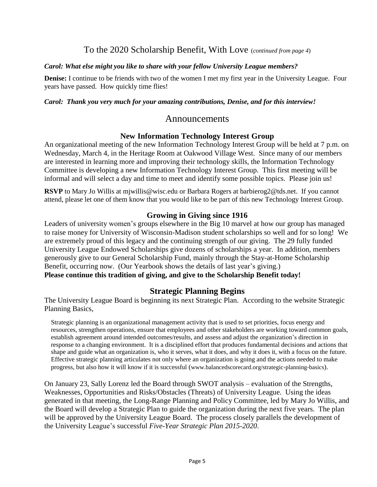### To the 2020 Scholarship Benefit, With Love (*continued from page <sup>4</sup>*)

#### *Carol: What else might you like to share with your fellow University League members?*

**Denise:** I continue to be friends with two of the women I met my first year in the University League. Four years have passed. How quickly time flies!

#### *Carol: Thank you very much for your amazing contributions, Denise, and for this interview!*

#### Announcements

#### **New Information Technology Interest Group**

An organizational meeting of the new Information Technology Interest Group will be held at 7 p.m. on Wednesday, March 4, in the Heritage Room at Oakwood Village West. Since many of our members are interested in learning more and improving their technology skills, the Information Technology Committee is developing a new Information Technology Interest Group. This first meeting will be informal and will select a day and time to meet and identify some possible topics. Please join us!

**RSVP** to Mary Jo Willis at [mjwillis@wisc.edu](mailto:mjwillis@wisc.edu) or Barbara Rogers at barbierog2@tds.net. If you cannot attend, please let one of them know that you would like to be part of this new Technology Interest Group.

#### **Growing in Giving since 1916**

Leaders of university women's groups elsewhere in the Big 10 marvel at how our group has managed to raise money for University of Wisconsin-Madison student scholarships so well and for so long! We are extremely proud of this legacy and the continuing strength of our giving. The 29 fully funded University League Endowed Scholarships give dozens of scholarships a year. In addition, members generously give to our General Scholarship Fund, mainly through the Stay-at-Home Scholarship Benefit, occurring now. (Our Yearbook shows the details of last year's giving.) **Please continue this tradition of giving, and give to the Scholarship Benefit today!**

#### **Strategic Planning Begins**

The University League Board is beginning its next Strategic Plan. According to the website Strategic Planning Basics,

Strategic planning is an organizational management activity that is used to set priorities, focus energy and resources, strengthen operations, ensure that employees and other stakeholders are working toward common goals, establish agreement around intended outcomes/results, and assess and adjust the organization's direction in response to a changing environment. It is a disciplined effort that produces fundamental decisions and actions that shape and guide what an organization is, who it serves, what it does, and why it does it, with a focus on the future. Effective strategic planning articulates not only where an organization is going and the actions needed to make progress, but also how it will know if it is successful ([www.balancedscorecard.org/strategic-planning-basics](http://www.balancedscorecard.org/strategic-planning-basics)).

On January 23, Sally Lorenz led the Board through SWOT analysis – evaluation of the Strengths, Weaknesses, Opportunities and Risks/Obstacles (Threats) of University League. Using the ideas generated in that meeting, the Long-Range Planning and Policy Committee, led by Mary Jo Willis, and the Board will develop a Strategic Plan to guide the organization during the next five years. The plan will be approved by the University League Board. The process closely parallels the development of the University League's successful *Five-Year Strategic Plan 2015-2020*.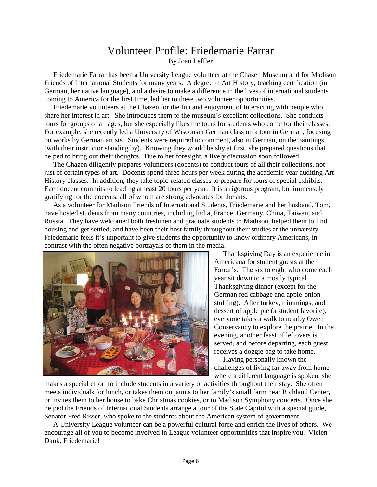### Volunteer Profile: Friedemarie Farrar By Joan Leffler

 Friedemarie Farrar has been a University League volunteer at the Chazen Museum and for Madison Friends of International Students for many years. A degree in Art History, teaching certification (in German, her native language), and a desire to make a difference in the lives of international students coming to America for the first time, led her to these two volunteer opportunities.

 Friedemarie volunteers at the Chazen for the fun and enjoyment of interacting with people who share her interest in art. She introduces them to the museum's excellent collections. She conducts tours for groups of all ages, but she especially likes the tours for students who come for their classes. For example, she recently led a University of Wisconsin German class on a tour in German, focusing on works by German artists. Students were required to comment, also in German, on the paintings (with their instructor standing by). Knowing they would be shy at first, she prepared questions that helped to bring out their thoughts. Due to her foresight, a lively discussion soon followed.

 The Chazen diligently prepares volunteers (docents) to conduct tours of all their collections, not just of certain types of art. Docents spend three hours per week during the academic year auditing Art History classes. In addition, they take topic-related classes to prepare for tours of special exhibits. Each docent commits to leading at least 20 tours per year. It is a rigorous program, but immensely gratifying for the docents, all of whom are strong advocates for the arts.

 As a volunteer for Madison Friends of International Students, Friedemarie and her husband, Tom, have hosted students from many countries, including India, France, Germany, China, Taiwan, and Russia. They have welcomed both freshmen and graduate students to Madison, helped them to find housing and get settled, and have been their host family throughout their studies at the university. Friedemarie feels it's important to give students the opportunity to know ordinary Americans, in contrast with the often negative portrayals of them in the media.



 Thanksgiving Day is an experience in Americana for student guests at the Farrar's. The six to eight who come each year sit down to a mostly typical Thanksgiving dinner (except for the German red cabbage and apple-onion stuffing). After turkey, trimmings, and dessert of apple pie (a student favorite), everyone takes a walk to nearby Owen Conservancy to explore the prairie. In the evening, another feast of leftovers is served, and before departing, each guest receives a doggie bag to take home.

 Having personally known the challenges of living far away from home where a different language is spoken, she

makes a special effort to include students in a variety of activities throughout their stay. She often meets individuals for lunch, or takes them on jaunts to her family's small farm near Richland Center, or invites them to her house to bake Christmas cookies, or to Madison Symphony concerts. Once she helped the Friends of International Students arrange a tour of the State Capitol with a special guide, Senator Fred Risser, who spoke to the students about the American system of government.

 A University League volunteer can be a powerful cultural force and enrich the lives of others. We encourage all of you to become involved in League volunteer opportunities that inspire you. Vielen Dank, Friedemarie!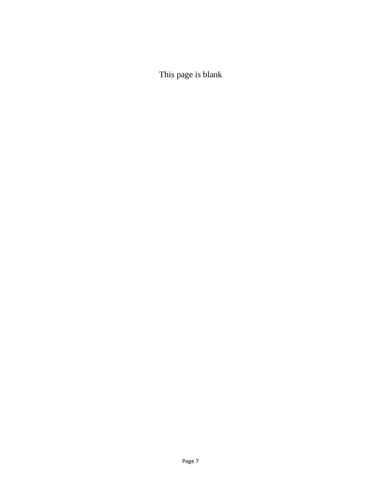This page is blank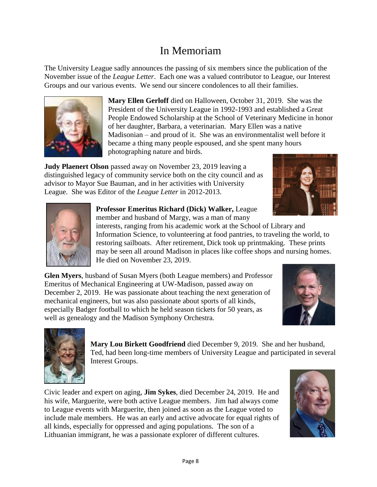# In Memoriam

The University League sadly announces the passing of six members since the publication of the November issue of the *League Letter*. Each one was a valued contributor to League, our Interest Groups and our various events. We send our sincere condolences to all their families.



**Mary Ellen Gerloff** died on Halloween, October 31, 2019. She was the President of the University League in 1992-1993 and established a Great People Endowed Scholarship at the School of Veterinary Medicine in honor of her daughter, Barbara, a veterinarian. Mary Ellen was a native Madisonian – and proud of it. She was an environmentalist well before it became a thing many people espoused, and she spent many hours photographing nature and birds.

**Judy Plaenert Olson** passed away on November 23, 2019 leaving a distinguished legacy of community service both on the city council and as advisor to Mayor Sue Bauman, and in her activities with University League. She was Editor of the *League Letter* in 2012-2013.





#### **Professor Emeritus Richard (Dick) Walker,** League member and husband of Margy, was a man of many

interests, ranging from his academic work at the School of Library and Information Science, to volunteering at food pantries, to traveling the world, to restoring sailboats. After retirement, Dick took up printmaking. These prints may be seen all around Madison in places like coffee shops and nursing homes. He died on November 23, 2019.

**Glen Myers**, husband of Susan Myers (both League members) and Professor Emeritus of Mechanical Engineering at UW-Madison, passed away on December 2, 2019. He was passionate about teaching the next generation of mechanical engineers, but was also passionate about sports of all kinds, especially Badger football to which he held season tickets for 50 years, as well as genealogy and the Madison Symphony Orchestra.





**Mary Lou Birkett Goodfriend** died December 9, 2019. She and her husband, Ted, had been long-time members of University League and participated in several Interest Groups.

Civic leader and expert on aging, **Jim Sykes**, died December 24, 2019. He and his wife, Marguerite, were both active League members. Jim had always come to League events with Marguerite, then joined as soon as the League voted to include male members. He was an early and active advocate for equal rights of all kinds, especially for oppressed and aging populations. The son of a Lithuanian immigrant, he was a passionate explorer of different cultures.

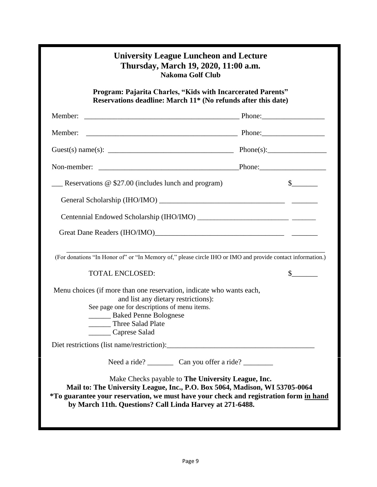| <b>University League Luncheon and Lecture</b><br>Thursday, March 19, 2020, 11:00 a.m.<br><b>Nakoma Golf Club</b>                                                                                                                                                                       |                                                                                                                                                                                                                                                                                                                                                                              |  |
|----------------------------------------------------------------------------------------------------------------------------------------------------------------------------------------------------------------------------------------------------------------------------------------|------------------------------------------------------------------------------------------------------------------------------------------------------------------------------------------------------------------------------------------------------------------------------------------------------------------------------------------------------------------------------|--|
| Program: Pajarita Charles, "Kids with Incarcerated Parents"<br>Reservations deadline: March 11* (No refunds after this date)                                                                                                                                                           |                                                                                                                                                                                                                                                                                                                                                                              |  |
| Member:                                                                                                                                                                                                                                                                                |                                                                                                                                                                                                                                                                                                                                                                              |  |
|                                                                                                                                                                                                                                                                                        |                                                                                                                                                                                                                                                                                                                                                                              |  |
|                                                                                                                                                                                                                                                                                        |                                                                                                                                                                                                                                                                                                                                                                              |  |
|                                                                                                                                                                                                                                                                                        |                                                                                                                                                                                                                                                                                                                                                                              |  |
| Reservations $\omega$ \$27.00 (includes lunch and program)                                                                                                                                                                                                                             | $\frac{\S_{\frac{1}{2}}}{\S_{\frac{1}{2}}}{\S_{\frac{1}{2}}}{\S_{\frac{1}{2}}}{\S_{\frac{1}{2}}}{\S_{\frac{1}{2}}}{\S_{\frac{1}{2}}}{\S_{\frac{1}{2}}}{\S_{\frac{1}{2}}}{\S_{\frac{1}{2}}}{\S_{\frac{1}{2}}}{\S_{\frac{1}{2}}}{\S_{\frac{1}{2}}}{\S_{\frac{1}{2}}}{\S_{\frac{1}{2}}}{\S_{\frac{1}{2}}}{\S_{\frac{1}{2}}}{\S_{\frac{1}{2}}}{\S_{\frac{1}{2}}}{\S_{\frac{1}{2$ |  |
|                                                                                                                                                                                                                                                                                        |                                                                                                                                                                                                                                                                                                                                                                              |  |
|                                                                                                                                                                                                                                                                                        |                                                                                                                                                                                                                                                                                                                                                                              |  |
|                                                                                                                                                                                                                                                                                        |                                                                                                                                                                                                                                                                                                                                                                              |  |
| (For donations "In Honor of" or "In Memory of," please circle IHO or IMO and provide contact information.)<br><b>TOTAL ENCLOSED:</b>                                                                                                                                                   | $\mathbb{S}$                                                                                                                                                                                                                                                                                                                                                                 |  |
| Menu choices (if more than one reservation, indicate who wants each,<br>and list any dietary restrictions):<br>See page one for descriptions of menu items.<br>Baked Penne Bolognese<br>Three Salad Plate<br>Caprese Salad                                                             |                                                                                                                                                                                                                                                                                                                                                                              |  |
| Need a ride? _____________ Can you offer a ride? ___________                                                                                                                                                                                                                           |                                                                                                                                                                                                                                                                                                                                                                              |  |
| Make Checks payable to The University League, Inc.<br>Mail to: The University League, Inc., P.O. Box 5064, Madison, WI 53705-0064<br>*To guarantee your reservation, we must have your check and registration form in hand<br>by March 11th. Questions? Call Linda Harvey at 271-6488. |                                                                                                                                                                                                                                                                                                                                                                              |  |